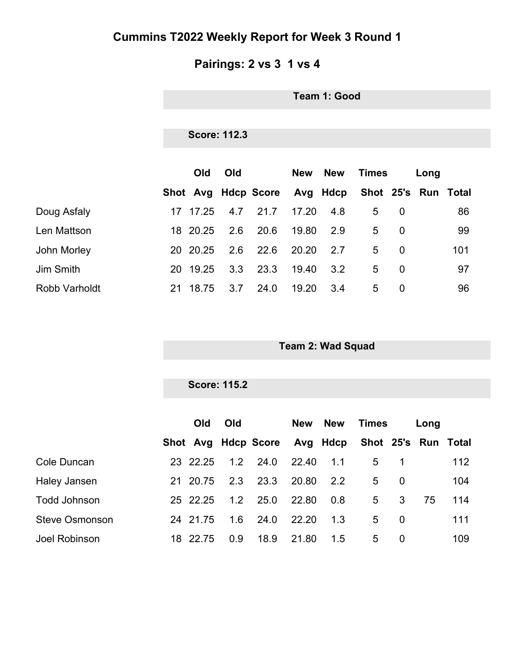# **Pairings: 2 vs 3 1 vs 4**

**Team 1: Good**

### **Score: 112.3**

|                      |     | <b>Old</b> | Old |                              | New   | <b>New</b> | Times |          | Long |                     |
|----------------------|-----|------------|-----|------------------------------|-------|------------|-------|----------|------|---------------------|
|                      |     |            |     | Shot Avg Hdcp Score Avg Hdcp |       |            |       |          |      | Shot 25's Run Total |
| Doug Asfaly          | 17  | 17.25      | 4.7 | 21.7                         | 17.20 | 4.8        | 5     | $\Omega$ |      | 86                  |
| Len Mattson          |     | 18 20.25   | 2.6 | 20.6                         | 19.80 | 2.9        | 5     | $\Omega$ |      | 99                  |
| John Morley          |     | 20 20.25   | 2.6 | 22.6                         | 20.20 | 2.7        | 5     | $\Omega$ |      | 101                 |
| <b>Jim Smith</b>     | 20. | 19.25      | 3.3 | 23.3                         | 19.40 | 3.2        | 5     | $\Omega$ |      | 97                  |
| <b>Robb Varholdt</b> | 21  | 18.75      | 3.7 | 24.0                         | 19.20 | 3.4        | 5     | 0        |      | 96                  |

**Team 2: Wad Squad**

#### **Score: 115.2**

|                       |    | Old      | <b>Old</b> |                                                  | New   | <b>New</b> | Times |          | Long |     |
|-----------------------|----|----------|------------|--------------------------------------------------|-------|------------|-------|----------|------|-----|
|                       |    |          |            | Shot Avg Hdcp Score Avg Hdcp Shot 25's Run Total |       |            |       |          |      |     |
| Cole Duncan           |    | 23 22.25 | 1.2        | 24.0                                             | 22.40 | 1.1        | 5     |          |      | 112 |
| Haley Jansen          |    | 21 20.75 | 2.3        | 23.3                                             | 20.80 | 2.2        | 5     | 0        |      | 104 |
| <b>Todd Johnson</b>   |    | 25 22.25 | 1.2        | 25.0                                             | 22.80 | 0.8        | 5     | 3        | 75   | 114 |
| <b>Steve Osmonson</b> |    | 24 21.75 | 1.6        | 24.0                                             | 22.20 | 1.3        | 5     | 0        |      | 111 |
| Joel Robinson         | 18 | 22.75    | 0.9        | 18.9                                             | 21.80 | 1.5        | 5     | $\Omega$ |      | 109 |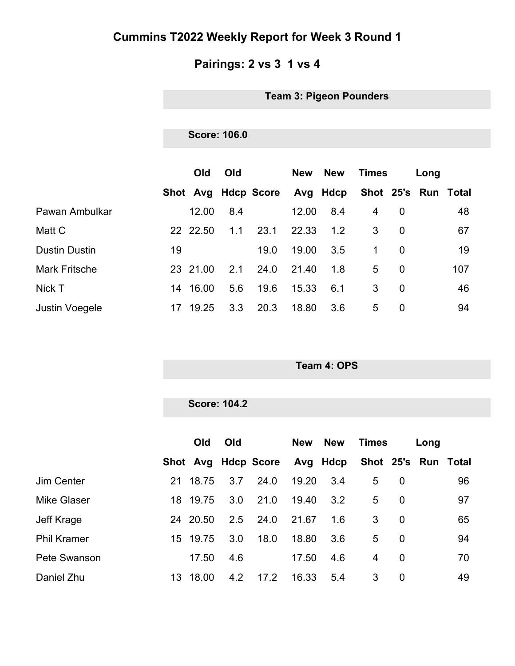# **Pairings: 2 vs 3 1 vs 4**

**Team 3: Pigeon Pounders**

#### **Score: 106.0**

|                       |    | Old      | Old |                     | New   | <b>New</b> | Times |          | Long |                     |
|-----------------------|----|----------|-----|---------------------|-------|------------|-------|----------|------|---------------------|
|                       |    |          |     | Shot Avg Hdcp Score |       | Avg Hdcp   |       |          |      | Shot 25's Run Total |
| Pawan Ambulkar        |    | 12.00    | 8.4 |                     | 12.00 | 8.4        | 4     | 0        |      | 48                  |
| Matt C                |    | 22 22.50 | 1.1 | 23.1                | 22.33 | 1.2        | 3     | 0        |      | 67                  |
| <b>Dustin Dustin</b>  | 19 |          |     | 19.0                | 19.00 | 3.5        | 1     | 0        |      | 19                  |
| <b>Mark Fritsche</b>  |    | 23 21.00 | 2.1 | 24.0                | 21.40 | 1.8        | 5     | $\Omega$ |      | 107                 |
| Nick T                | 14 | 16.00    | 5.6 | 19.6                | 15.33 | 6.1        | 3     | 0        |      | 46                  |
| <b>Justin Voegele</b> | 17 | 19.25    | 3.3 | 20.3                | 18.80 | 3.6        | 5     | 0        |      | 94                  |

**Team 4: OPS**

|                    | <b>Score: 104.2</b> |     |                              |            |            |                     |                |      |    |  |
|--------------------|---------------------|-----|------------------------------|------------|------------|---------------------|----------------|------|----|--|
|                    | Old                 | Old |                              | <b>New</b> | <b>New</b> | <b>Times</b>        |                | Long |    |  |
|                    |                     |     | Shot Avg Hdcp Score Avg Hdcp |            |            | Shot 25's Run Total |                |      |    |  |
| Jim Center         | 21 18.75            | 3.7 | 24.0                         | 19.20      | 3.4        | 5                   | $\overline{0}$ |      | 96 |  |
| <b>Mike Glaser</b> | 18 19.75            | 3.0 | 21.0                         | 19.40      | 3.2        | 5                   | $\overline{0}$ |      | 97 |  |
| Jeff Krage         | 24 20.50            | 2.5 | 24.0                         | 21.67      | 1.6        | 3                   | $\overline{0}$ |      | 65 |  |
| <b>Phil Kramer</b> | 15 19.75            | 3.0 | 18.0                         | 18.80      | 3.6        | 5                   | $\overline{0}$ |      | 94 |  |
| Pete Swanson       | 17.50               | 4.6 |                              | 17.50      | 4.6        | $\overline{4}$      | $\overline{0}$ |      | 70 |  |
| Daniel Zhu         | 13 18.00            | 4.2 | 17.2                         | 16.33      | 5.4        | 3                   | $\mathbf 0$    |      | 49 |  |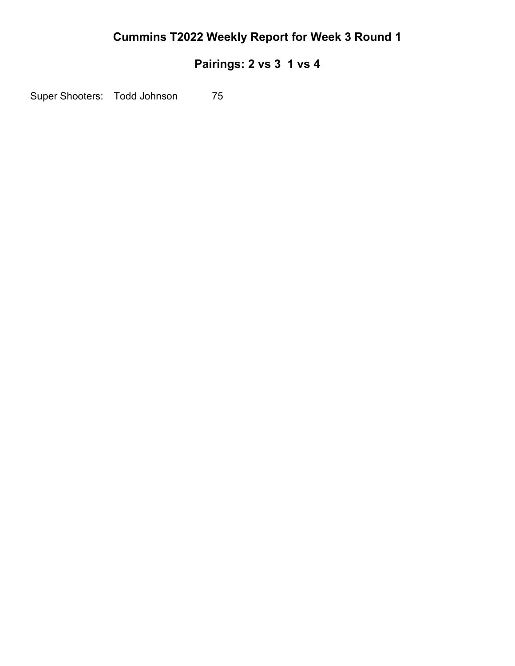# **Pairings: 2 vs 3 1 vs 4**

Super Shooters: Todd Johnson 75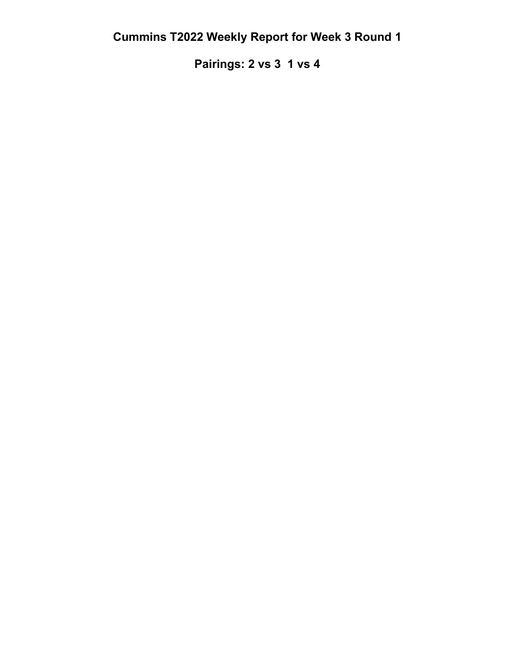**Pairings: 2 vs 3 1 vs 4**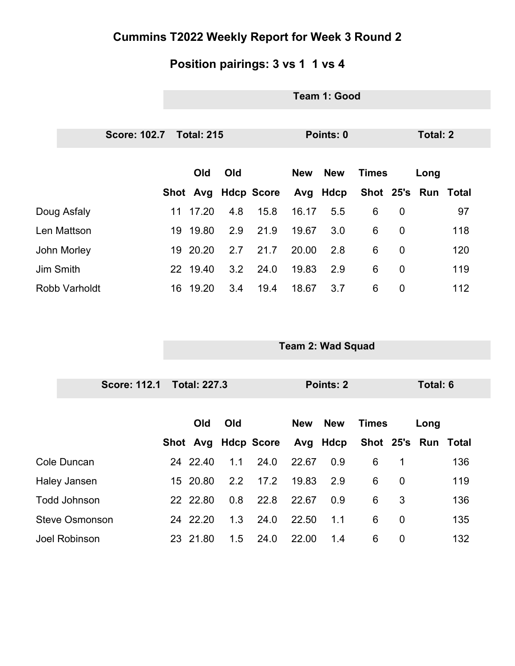# **Position pairings: 3 vs 1 1 vs 4**

|                       | Team 1: Good        |     |                     |            |                          |              |                 |                     |     |  |
|-----------------------|---------------------|-----|---------------------|------------|--------------------------|--------------|-----------------|---------------------|-----|--|
|                       |                     |     |                     |            |                          |              |                 |                     |     |  |
| <b>Score: 102.7</b>   | <b>Total: 215</b>   |     | Points: 0           |            |                          |              | <b>Total: 2</b> |                     |     |  |
|                       | Old                 | Old |                     | <b>New</b> | <b>New</b>               | <b>Times</b> |                 | Long                |     |  |
|                       |                     |     | Shot Avg Hdcp Score |            | Avg Hdcp                 |              |                 | Shot 25's Run Total |     |  |
| Doug Asfaly           | 11 17.20            | 4.8 | 15.8                | 16.17      | 5.5                      | 6            | $\mathbf 0$     |                     | 97  |  |
| Len Mattson           | 19 19.80            | 2.9 | 21.9                | 19.67      | 3.0                      | 6            | $\mathbf 0$     |                     | 118 |  |
| John Morley           | 19 20.20            | 2.7 | 21.7                | 20.00      | 2.8                      | 6            | $\mathbf 0$     |                     | 120 |  |
| Jim Smith             | 22 19.40            | 3.2 | 24.0                | 19.83      | 2.9                      | 6            | $\mathbf 0$     |                     | 119 |  |
| <b>Robb Varholdt</b>  | 16 19.20            | 3.4 | 19.4                | 18.67      | 3.7                      | 6            | $\mathbf 0$     |                     | 112 |  |
|                       |                     |     |                     |            |                          |              |                 |                     |     |  |
|                       |                     |     |                     |            |                          |              |                 |                     |     |  |
|                       |                     |     |                     |            | <b>Team 2: Wad Squad</b> |              |                 |                     |     |  |
|                       |                     |     |                     |            |                          |              |                 |                     |     |  |
|                       |                     |     |                     |            |                          |              |                 |                     |     |  |
| <b>Score: 112.1</b>   | <b>Total: 227.3</b> |     |                     |            | <b>Points: 2</b>         |              |                 | <b>Total: 6</b>     |     |  |
|                       |                     |     |                     |            |                          |              |                 |                     |     |  |
|                       | Old                 | Old |                     | <b>New</b> | <b>New</b>               | <b>Times</b> |                 | Long                |     |  |
|                       |                     |     | Shot Avg Hdcp Score |            | Avg Hdcp                 |              |                 | Shot 25's Run Total |     |  |
| Cole Duncan           | 24 22.40 1.1        |     | 24.0                |            | 22.67 0.9 6              |              | $\mathbf 1$     |                     | 136 |  |
| Haley Jansen          | 15 20.80            | 2.2 | 17.2                | 19.83      | 2.9                      | 6            | $\mathbf 0$     |                     | 119 |  |
| <b>Todd Johnson</b>   | 22 22.80            | 0.8 | 22.8                | 22.67      | 0.9                      | 6            | 3               |                     | 136 |  |
| <b>Steve Osmonson</b> | 24 22.20            | 1.3 | 24.0                | 22.50      | 1.1                      | 6            | $\mathbf 0$     |                     | 135 |  |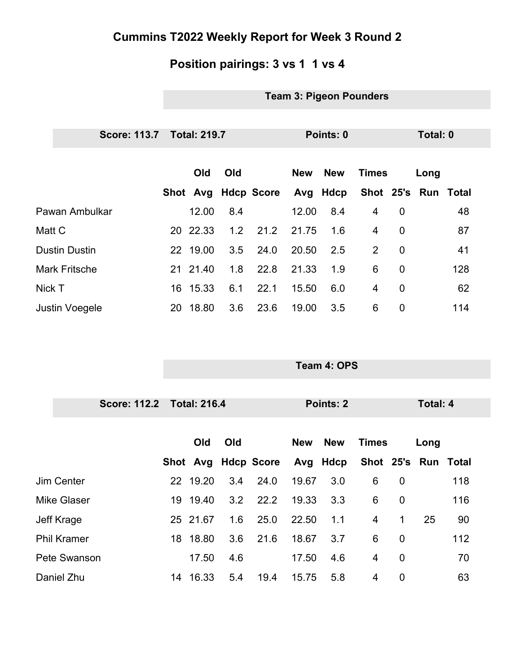### **Position pairings: 3 vs 1 1 vs 4**

### **Team 3: Pigeon Pounders**

**Team 4: OPS**

|                       | Score: 113.7 Total: 219.7 |          |     |                     | Points: 0  |            |                |                | Total: 0            |     |  |
|-----------------------|---------------------------|----------|-----|---------------------|------------|------------|----------------|----------------|---------------------|-----|--|
|                       |                           | Old      | Old |                     | <b>New</b> | <b>New</b> | <b>Times</b>   |                | Long                |     |  |
|                       |                           |          |     | Shot Avg Hdcp Score |            | Avg Hdcp   |                |                | Shot 25's Run Total |     |  |
| Pawan Ambulkar        |                           | 12.00    | 8.4 |                     | 12.00      | 8.4        | 4              | $\overline{0}$ |                     | 48  |  |
| Matt C                |                           | 20 22.33 | 1.2 | 21.2                | 21.75      | 1.6        | 4              | $\overline{0}$ |                     | 87  |  |
| <b>Dustin Dustin</b>  |                           | 22 19.00 | 3.5 | 24.0                | 20.50      | 2.5        | 2              | $\overline{0}$ |                     | 41  |  |
| <b>Mark Fritsche</b>  |                           | 21 21.40 | 1.8 | 22.8                | 21.33      | 1.9        | 6              | $\overline{0}$ |                     | 128 |  |
| Nick T                |                           | 16 15.33 | 6.1 | 22.1                | 15.50      | 6.0        | $\overline{4}$ | $\overline{0}$ |                     | 62  |  |
| <b>Justin Voegele</b> | 20                        | 18.80    | 3.6 | 23.6                | 19.00      | 3.5        | 6              | 0              |                     | 114 |  |

|                    | Score: 112.2 Total: 216.4 |          |     |                   | Points: 2  |            |                     | Total: 4       |      |     |  |
|--------------------|---------------------------|----------|-----|-------------------|------------|------------|---------------------|----------------|------|-----|--|
|                    |                           |          |     |                   |            |            |                     |                |      |     |  |
|                    |                           | Old      | Old |                   | <b>New</b> | <b>New</b> | <b>Times</b>        |                | Long |     |  |
|                    |                           | Shot Avg |     | <b>Hdcp Score</b> |            | Avg Hdcp   | Shot 25's Run Total |                |      |     |  |
| Jim Center         |                           | 22 19.20 | 3.4 | 24.0              | 19.67      | 3.0        | 6                   | $\mathbf 0$    |      | 118 |  |
| <b>Mike Glaser</b> |                           | 19 19.40 | 3.2 | 22.2              | 19.33      | 3.3        | 6                   | $\overline{0}$ |      | 116 |  |
| Jeff Krage         |                           | 25 21.67 | 1.6 | 25.0              | 22.50      | 1.1        | $\overline{4}$      | $\mathbf{1}$   | 25   | 90  |  |
| <b>Phil Kramer</b> |                           | 18 18.80 | 3.6 | 21.6              | 18.67      | 3.7        | 6                   | $\overline{0}$ |      | 112 |  |
| Pete Swanson       |                           | 17.50    | 4.6 |                   | 17.50      | 4.6        | 4                   | $\overline{0}$ |      | 70  |  |
| Daniel Zhu         |                           | 14 16.33 | 5.4 | 19.4              | 15.75      | 5.8        | 4                   | $\overline{0}$ |      | 63  |  |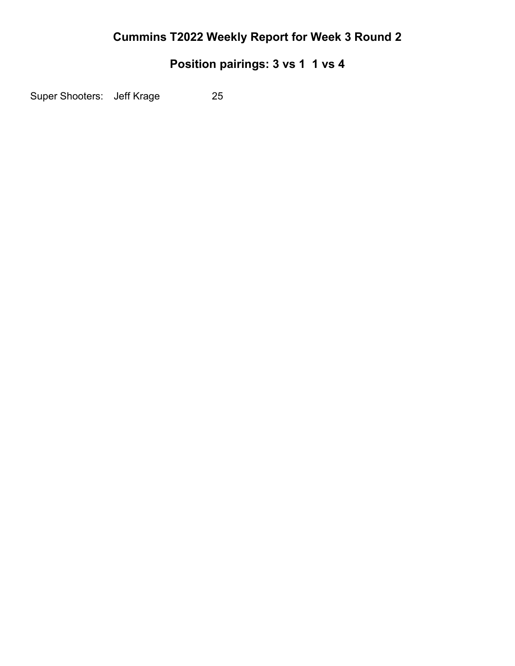# **Position pairings: 3 vs 1 1 vs 4**

Super Shooters: Jeff Krage 25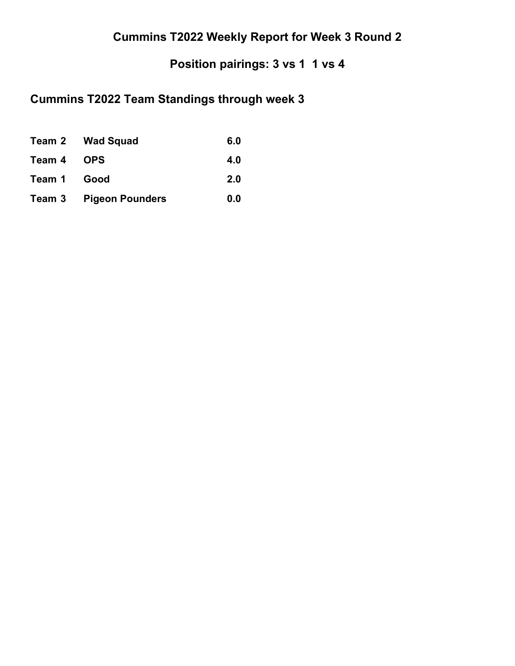# **Position pairings: 3 vs 1 1 vs 4**

# **Cummins T2022 Team Standings through week 3**

|             | Team 2 Wad Squad              | 6.0 |
|-------------|-------------------------------|-----|
| Team 4 OPS  |                               | 4.0 |
| Team 1 Good |                               | 2.0 |
|             | <b>Team 3 Pigeon Pounders</b> | 0.0 |